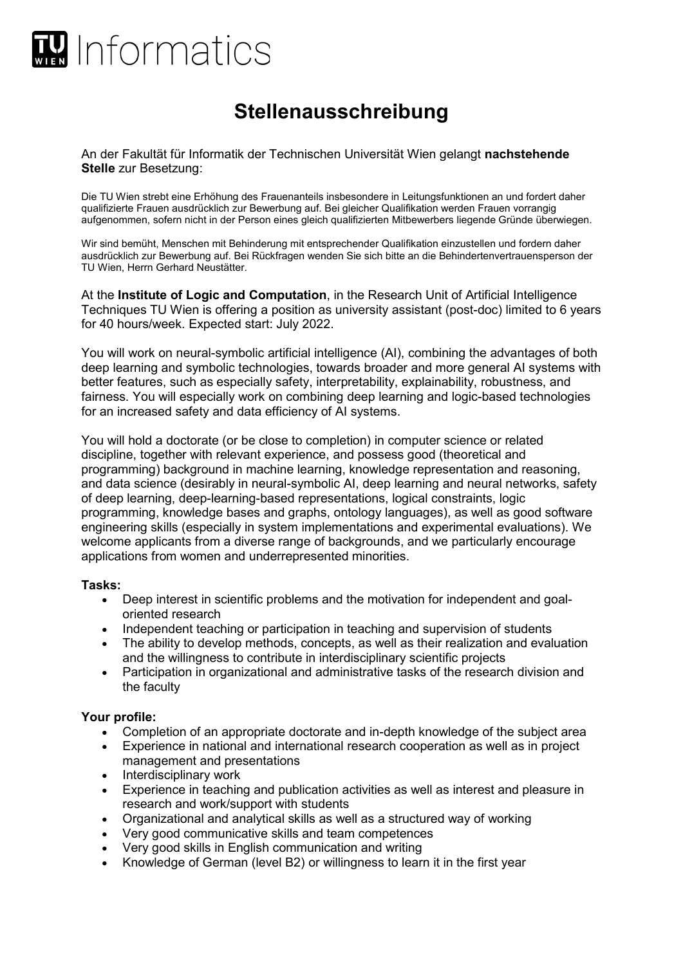

## **Stellenausschreibung**

An der Fakultät für Informatik der Technischen Universität Wien gelangt **nachstehende Stelle** zur Besetzung:

Die TU Wien strebt eine Erhöhung des Frauenanteils insbesondere in Leitungsfunktionen an und fordert daher qualifizierte Frauen ausdrücklich zur Bewerbung auf. Bei gleicher Qualifikation werden Frauen vorrangig aufgenommen, sofern nicht in der Person eines gleich qualifizierten Mitbewerbers liegende Gründe überwiegen.

Wir sind bemüht, Menschen mit Behinderung mit entsprechender Qualifikation einzustellen und fordern daher ausdrücklich zur Bewerbung auf. Bei Rückfragen wenden Sie sich bitte an die Behindertenvertrauensperson der TU Wien, Herrn Gerhard Neustätter.

At the **Institute of Logic and Computation**, in the Research Unit of Artificial Intelligence Techniques TU Wien is offering a position as university assistant (post-doc) limited to 6 years for 40 hours/week. Expected start: July 2022.

You will work on neural-symbolic artificial intelligence (AI), combining the advantages of both deep learning and symbolic technologies, towards broader and more general AI systems with better features, such as especially safety, interpretability, explainability, robustness, and fairness. You will especially work on combining deep learning and logic-based technologies for an increased safety and data efficiency of AI systems.

You will hold a doctorate (or be close to completion) in computer science or related discipline, together with relevant experience, and possess good (theoretical and programming) background in machine learning, knowledge representation and reasoning, and data science (desirably in neural-symbolic AI, deep learning and neural networks, safety of deep learning, deep-learning-based representations, logical constraints, logic programming, knowledge bases and graphs, ontology languages), as well as good software engineering skills (especially in system implementations and experimental evaluations). We welcome applicants from a diverse range of backgrounds, and we particularly encourage applications from women and underrepresented minorities.

## **Tasks:**

- Deep interest in scientific problems and the motivation for independent and goaloriented research
- Independent teaching or participation in teaching and supervision of students
- The ability to develop methods, concepts, as well as their realization and evaluation and the willingness to contribute in interdisciplinary scientific projects
- Participation in organizational and administrative tasks of the research division and the faculty

## **Your profile:**

- Completion of an appropriate doctorate and in-depth knowledge of the subject area
- Experience in national and international research cooperation as well as in project management and presentations
- Interdisciplinary work
- Experience in teaching and publication activities as well as interest and pleasure in research and work/support with students
- Organizational and analytical skills as well as a structured way of working
- Very good communicative skills and team competences
- Very good skills in English communication and writing
- Knowledge of German (level B2) or willingness to learn it in the first year